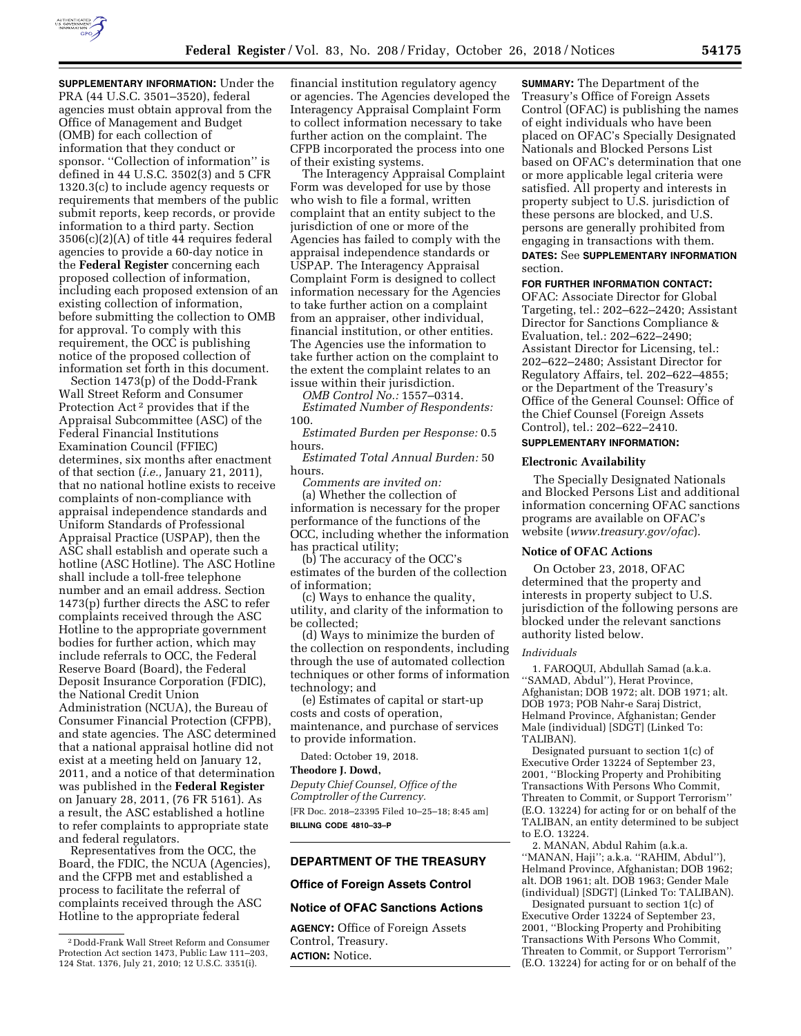

**SUPPLEMENTARY INFORMATION:** Under the PRA (44 U.S.C. 3501–3520), federal agencies must obtain approval from the Office of Management and Budget (OMB) for each collection of information that they conduct or sponsor. "Collection of information" is defined in 44 U.S.C. 3502(3) and 5 CFR 1320.3(c) to include agency requests or requirements that members of the public submit reports, keep records, or provide information to a third party. Section 3506(c)(2)(A) of title 44 requires federal agencies to provide a 60-day notice in the **Federal Register** concerning each proposed collection of information, including each proposed extension of an existing collection of information, before submitting the collection to OMB for approval. To comply with this requirement, the OCC is publishing notice of the proposed collection of information set forth in this document.

Section 1473(p) of the Dodd-Frank Wall Street Reform and Consumer Protection Act 2 provides that if the Appraisal Subcommittee (ASC) of the Federal Financial Institutions Examination Council (FFIEC) determines, six months after enactment of that section (*i.e.,* January 21, 2011), that no national hotline exists to receive complaints of non-compliance with appraisal independence standards and Uniform Standards of Professional Appraisal Practice (USPAP), then the ASC shall establish and operate such a hotline (ASC Hotline). The ASC Hotline shall include a toll-free telephone number and an email address. Section 1473(p) further directs the ASC to refer complaints received through the ASC Hotline to the appropriate government bodies for further action, which may include referrals to OCC, the Federal Reserve Board (Board), the Federal Deposit Insurance Corporation (FDIC), the National Credit Union Administration (NCUA), the Bureau of Consumer Financial Protection (CFPB), and state agencies. The ASC determined that a national appraisal hotline did not exist at a meeting held on January 12, 2011, and a notice of that determination was published in the **Federal Register**  on January 28, 2011, (76 FR 5161). As a result, the ASC established a hotline to refer complaints to appropriate state and federal regulators.

Representatives from the OCC, the Board, the FDIC, the NCUA (Agencies), and the CFPB met and established a process to facilitate the referral of complaints received through the ASC Hotline to the appropriate federal

financial institution regulatory agency or agencies. The Agencies developed the Interagency Appraisal Complaint Form to collect information necessary to take further action on the complaint. The CFPB incorporated the process into one of their existing systems.

The Interagency Appraisal Complaint Form was developed for use by those who wish to file a formal, written complaint that an entity subject to the jurisdiction of one or more of the Agencies has failed to comply with the appraisal independence standards or USPAP. The Interagency Appraisal Complaint Form is designed to collect information necessary for the Agencies to take further action on a complaint from an appraiser, other individual, financial institution, or other entities. The Agencies use the information to take further action on the complaint to the extent the complaint relates to an issue within their jurisdiction.

*OMB Control No.:* 1557–0314. *Estimated Number of Respondents:*  100.

*Estimated Burden per Response:* 0.5 hours.

*Estimated Total Annual Burden:* 50 hours.

*Comments are invited on:*  (a) Whether the collection of information is necessary for the proper performance of the functions of the OCC, including whether the information has practical utility;

(b) The accuracy of the OCC's estimates of the burden of the collection of information;

(c) Ways to enhance the quality, utility, and clarity of the information to be collected;

(d) Ways to minimize the burden of the collection on respondents, including through the use of automated collection techniques or other forms of information technology; and

(e) Estimates of capital or start-up costs and costs of operation, maintenance, and purchase of services to provide information.

Dated: October 19, 2018.

**Theodore J. Dowd,** 

*Deputy Chief Counsel, Office of the Comptroller of the Currency.*  [FR Doc. 2018–23395 Filed 10–25–18; 8:45 am] **BILLING CODE 4810–33–P** 

## **DEPARTMENT OF THE TREASURY**

## **Office of Foreign Assets Control**

# **Notice of OFAC Sanctions Actions**

**AGENCY:** Office of Foreign Assets Control, Treasury. **ACTION:** Notice.

**SUMMARY:** The Department of the Treasury's Office of Foreign Assets Control (OFAC) is publishing the names of eight individuals who have been placed on OFAC's Specially Designated Nationals and Blocked Persons List based on OFAC's determination that one or more applicable legal criteria were satisfied. All property and interests in property subject to U.S. jurisdiction of these persons are blocked, and U.S. persons are generally prohibited from engaging in transactions with them.

**DATES:** See **SUPPLEMENTARY INFORMATION** section.

## **FOR FURTHER INFORMATION CONTACT:**

OFAC: Associate Director for Global Targeting, tel.: 202–622–2420; Assistant Director for Sanctions Compliance & Evaluation, tel.: 202–622–2490; Assistant Director for Licensing, tel.: 202–622–2480; Assistant Director for Regulatory Affairs, tel. 202–622–4855; or the Department of the Treasury's Office of the General Counsel: Office of the Chief Counsel (Foreign Assets Control), tel.: 202–622–2410.

## **SUPPLEMENTARY INFORMATION:**

#### **Electronic Availability**

The Specially Designated Nationals and Blocked Persons List and additional information concerning OFAC sanctions programs are available on OFAC's website (*[www.treasury.gov/ofac](http://www.treasury.gov/ofac)*).

#### **Notice of OFAC Actions**

On October 23, 2018, OFAC determined that the property and interests in property subject to U.S. jurisdiction of the following persons are blocked under the relevant sanctions authority listed below.

### *Individuals*

1. FAROQUI, Abdullah Samad (a.k.a. ''SAMAD, Abdul''), Herat Province, Afghanistan; DOB 1972; alt. DOB 1971; alt. DOB 1973; POB Nahr-e Saraj District, Helmand Province, Afghanistan; Gender Male (individual) [SDGT] (Linked To: TALIBAN).

Designated pursuant to section 1(c) of Executive Order 13224 of September 23, 2001, ''Blocking Property and Prohibiting Transactions With Persons Who Commit, Threaten to Commit, or Support Terrorism'' (E.O. 13224) for acting for or on behalf of the TALIBAN, an entity determined to be subject to E.O. 13224.

2. MANAN, Abdul Rahim (a.k.a. ''MANAN, Haji''; a.k.a. ''RAHIM, Abdul''), Helmand Province, Afghanistan; DOB 1962; alt. DOB 1961; alt. DOB 1963; Gender Male (individual) [SDGT] (Linked To: TALIBAN).

Designated pursuant to section 1(c) of Executive Order 13224 of September 23, 2001, ''Blocking Property and Prohibiting Transactions With Persons Who Commit, Threaten to Commit, or Support Terrorism'' (E.O. 13224) for acting for or on behalf of the

<sup>2</sup> Dodd-Frank Wall Street Reform and Consumer Protection Act section 1473, Public Law 111–203, 124 Stat. 1376, July 21, 2010; 12 U.S.C. 3351(i).